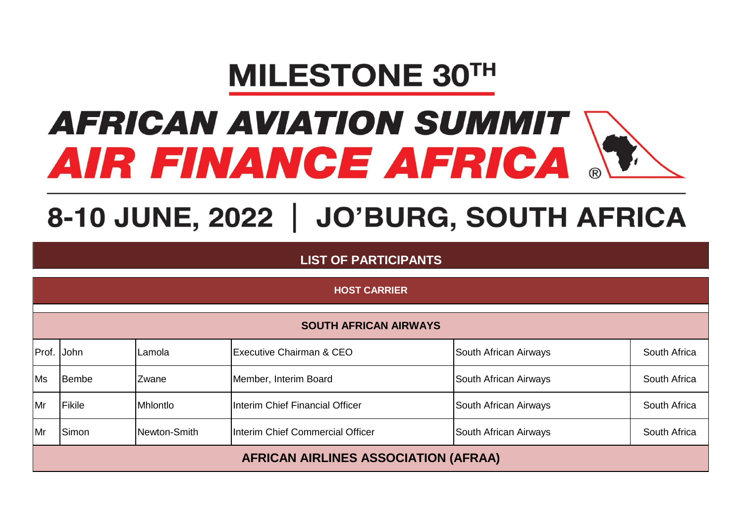## **MILESTONE 30TH**

## **AFRICAN AVIATION SUMMIT** AIR FINANCE AFRICA

## 8-10 JUNE, 2022 | JO'BURG, SOUTH AFRICA

**LIST OF PARTICIPANTS**

|           | <b>HOST CARRIER</b>                         |              |                                     |                       |              |  |  |  |
|-----------|---------------------------------------------|--------------|-------------------------------------|-----------------------|--------------|--|--|--|
|           | <b>SOUTH AFRICAN AIRWAYS</b>                |              |                                     |                       |              |  |  |  |
|           | Prof. John                                  | Lamola       | <b>Executive Chairman &amp; CEO</b> | South African Airways | South Africa |  |  |  |
| <b>Ms</b> | Bembe                                       | Zwane        | Member, Interim Board               | South African Airways | South Africa |  |  |  |
| Mr        | Fikile                                      | Mhlontlo     | Interim Chief Financial Officer     | South African Airways | South Africa |  |  |  |
| Mr        | Simon                                       | Newton-Smith | Interim Chief Commercial Officer    | South African Airways | South Africa |  |  |  |
|           | <b>AFRICAN AIRLINES ASSOCIATION (AFRAA)</b> |              |                                     |                       |              |  |  |  |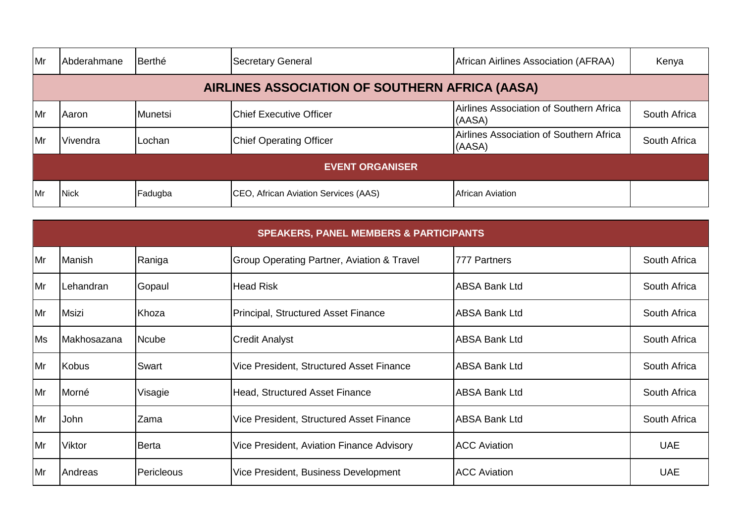| <b>Mr</b>   | Abderahmane                                    | Berthé  | <b>Secretary General</b>             | <b>African Airlines Association (AFRAA)</b>       | Kenya        |  |  |  |  |
|-------------|------------------------------------------------|---------|--------------------------------------|---------------------------------------------------|--------------|--|--|--|--|
|             | AIRLINES ASSOCIATION OF SOUTHERN AFRICA (AASA) |         |                                      |                                                   |              |  |  |  |  |
| <b>I</b> Mr | Aaron                                          | Munetsi | <b>Chief Executive Officer</b>       | Airlines Association of Southern Africa<br>(AASA) | South Africa |  |  |  |  |
| <b>I</b> Mr | Vivendra                                       | Lochan  | <b>Chief Operating Officer</b>       | Airlines Association of Southern Africa<br>(AASA) | South Africa |  |  |  |  |
|             | <b>EVENT ORGANISER</b>                         |         |                                      |                                                   |              |  |  |  |  |
| Mr          | <b>Nick</b>                                    | Fadugba | CEO, African Aviation Services (AAS) | African Aviation                                  |              |  |  |  |  |

|    | <b>SPEAKERS, PANEL MEMBERS &amp; PARTICIPANTS</b> |            |                                                       |                      |              |  |  |  |
|----|---------------------------------------------------|------------|-------------------------------------------------------|----------------------|--------------|--|--|--|
| Mr | Manish                                            | Raniga     | <b>Group Operating Partner, Aviation &amp; Travel</b> | 777 Partners         | South Africa |  |  |  |
| Mr | Lehandran                                         | Gopaul     | <b>Head Risk</b>                                      | <b>ABSA Bank Ltd</b> | South Africa |  |  |  |
| Mr | <b>Msizi</b>                                      | Khoza      | <b>Principal, Structured Asset Finance</b>            | <b>ABSA Bank Ltd</b> | South Africa |  |  |  |
| Ms | <b>Makhosazana</b>                                | Ncube      | <b>Credit Analyst</b>                                 | <b>ABSA Bank Ltd</b> | South Africa |  |  |  |
| Mr | <b>Kobus</b>                                      | Swart      | Vice President, Structured Asset Finance              | <b>ABSA Bank Ltd</b> | South Africa |  |  |  |
| Mr | Morné                                             | Visagie    | Head, Structured Asset Finance                        | <b>ABSA Bank Ltd</b> | South Africa |  |  |  |
| Mr | John                                              | Zama       | Vice President, Structured Asset Finance              | <b>ABSA Bank Ltd</b> | South Africa |  |  |  |
| Mr | Viktor                                            | Berta      | Vice President, Aviation Finance Advisory             | <b>ACC Aviation</b>  | <b>UAE</b>   |  |  |  |
| Mr | Andreas                                           | Pericleous | Vice President, Business Development                  | <b>ACC Aviation</b>  | <b>UAE</b>   |  |  |  |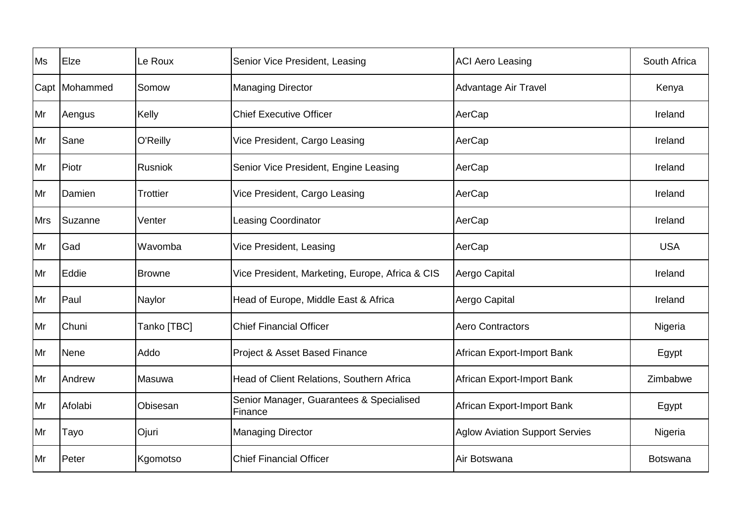| <b>Ms</b>  | Elze            | Le Roux         | Senior Vice President, Leasing                      | <b>ACI Aero Leasing</b>               | South Africa    |
|------------|-----------------|-----------------|-----------------------------------------------------|---------------------------------------|-----------------|
|            | Capt   Mohammed | Somow           | <b>Managing Director</b>                            | Advantage Air Travel                  | Kenya           |
| Mr         | Aengus          | Kelly           | <b>Chief Executive Officer</b>                      | AerCap                                | Ireland         |
| Mr         | Sane            | O'Reilly        | Vice President, Cargo Leasing                       | AerCap                                | Ireland         |
| Mr         | Piotr           | Rusniok         | Senior Vice President, Engine Leasing               | AerCap                                | Ireland         |
| Mr         | Damien          | <b>Trottier</b> | Vice President, Cargo Leasing                       | AerCap                                | Ireland         |
| <b>Mrs</b> | Suzanne         | Venter          | <b>Leasing Coordinator</b>                          | AerCap                                | Ireland         |
| Mr         | Gad             | Wavomba         | Vice President, Leasing                             | AerCap                                | <b>USA</b>      |
| Mr         | Eddie           | <b>Browne</b>   | Vice President, Marketing, Europe, Africa & CIS     | Aergo Capital                         | Ireland         |
| Mr         | Paul            | Naylor          | Head of Europe, Middle East & Africa                | Aergo Capital                         | Ireland         |
| Mr         | Chuni           | Tanko [TBC]     | <b>Chief Financial Officer</b>                      | <b>Aero Contractors</b>               | Nigeria         |
| Mr         | Nene            | Addo            | Project & Asset Based Finance                       | African Export-Import Bank            | Egypt           |
| Mr         | Andrew          | Masuwa          | Head of Client Relations, Southern Africa           | African Export-Import Bank            | Zimbabwe        |
| Mr         | Afolabi         | Obisesan        | Senior Manager, Guarantees & Specialised<br>Finance | African Export-Import Bank            | Egypt           |
| Mr         | Tayo            | Ojuri           | <b>Managing Director</b>                            | <b>Aglow Aviation Support Servies</b> | Nigeria         |
| Mr         | Peter           | Kgomotso        | <b>Chief Financial Officer</b>                      | Air Botswana                          | <b>Botswana</b> |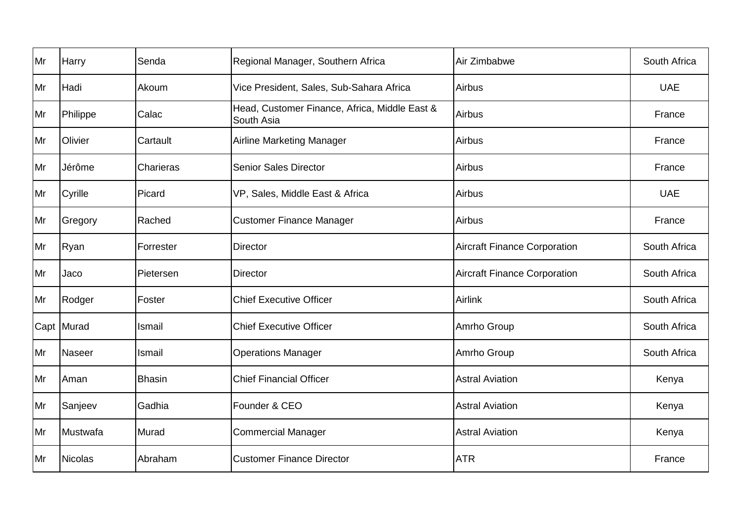| Mr | Harry          | Senda         | Regional Manager, Southern Africa                           | Air Zimbabwe                        | South Africa |
|----|----------------|---------------|-------------------------------------------------------------|-------------------------------------|--------------|
| Mr | Hadi           | Akoum         | Vice President, Sales, Sub-Sahara Africa                    | Airbus                              | <b>UAE</b>   |
| Mr | Philippe       | Calac         | Head, Customer Finance, Africa, Middle East &<br>South Asia | Airbus                              | France       |
| Mr | Olivier        | Cartault      | <b>Airline Marketing Manager</b>                            | Airbus                              | France       |
| Mr | Jérôme         | Charieras     | <b>Senior Sales Director</b>                                | Airbus                              | France       |
| Mr | Cyrille        | Picard        | VP, Sales, Middle East & Africa                             | Airbus                              | <b>UAE</b>   |
| Mr | Gregory        | Rached        | <b>Customer Finance Manager</b>                             | Airbus                              | France       |
| Mr | Ryan           | Forrester     | <b>Director</b>                                             | <b>Aircraft Finance Corporation</b> | South Africa |
| Mr | Jaco           | Pietersen     | <b>Director</b>                                             | <b>Aircraft Finance Corporation</b> | South Africa |
| Mr | Rodger         | Foster        | <b>Chief Executive Officer</b>                              | <b>Airlink</b>                      | South Africa |
|    | Capt Murad     | Ismail        | <b>Chief Executive Officer</b>                              | Amrho Group                         | South Africa |
| Mr | <b>Naseer</b>  | Ismail        | <b>Operations Manager</b>                                   | Amrho Group                         | South Africa |
| Mr | Aman           | <b>Bhasin</b> | <b>Chief Financial Officer</b>                              | <b>Astral Aviation</b>              | Kenya        |
| Mr | Sanjeev        | Gadhia        | Founder & CEO                                               | <b>Astral Aviation</b>              | Kenya        |
| Mr | Mustwafa       | Murad         | <b>Commercial Manager</b>                                   | <b>Astral Aviation</b>              | Kenya        |
| Mr | <b>Nicolas</b> | Abraham       | <b>Customer Finance Director</b>                            | <b>ATR</b>                          | France       |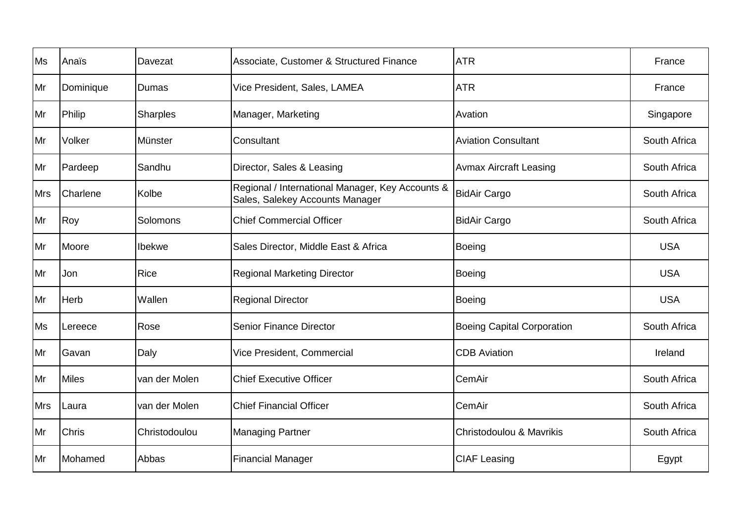| Ms         | Anaïs        | Davezat         | Associate, Customer & Structured Finance                                            | <b>ATR</b>                        | France       |
|------------|--------------|-----------------|-------------------------------------------------------------------------------------|-----------------------------------|--------------|
| Mr         | Dominique    | Dumas           | Vice President, Sales, LAMEA                                                        | <b>ATR</b>                        | France       |
| Mr         | Philip       | <b>Sharples</b> | Manager, Marketing                                                                  | Avation                           | Singapore    |
| Mr         | Volker       | Münster         | Consultant                                                                          | <b>Aviation Consultant</b>        | South Africa |
| Mr         | Pardeep      | Sandhu          | Director, Sales & Leasing                                                           | <b>Avmax Aircraft Leasing</b>     | South Africa |
| <b>Mrs</b> | Charlene     | Kolbe           | Regional / International Manager, Key Accounts &<br>Sales, Salekey Accounts Manager | <b>BidAir Cargo</b>               | South Africa |
| Mr         | Roy          | Solomons        | <b>Chief Commercial Officer</b>                                                     | <b>BidAir Cargo</b>               | South Africa |
| Mr         | Moore        | Ibekwe          | Sales Director, Middle East & Africa                                                | Boeing                            | <b>USA</b>   |
| Mr         | Jon          | <b>Rice</b>     | <b>Regional Marketing Director</b>                                                  | Boeing                            | <b>USA</b>   |
| Mr         | Herb         | Wallen          | <b>Regional Director</b>                                                            | Boeing                            | <b>USA</b>   |
| <b>Ms</b>  | Lereece      | Rose            | <b>Senior Finance Director</b>                                                      | <b>Boeing Capital Corporation</b> | South Africa |
| Mr         | Gavan        | Daly            | Vice President, Commercial                                                          | <b>CDB</b> Aviation               | Ireland      |
| Mr         | <b>Miles</b> | van der Molen   | <b>Chief Executive Officer</b>                                                      | CemAir                            | South Africa |
| <b>Mrs</b> | Laura        | van der Molen   | <b>Chief Financial Officer</b>                                                      | CemAir                            | South Africa |
| Mr         | Chris        | Christodoulou   | <b>Managing Partner</b>                                                             | Christodoulou & Mavrikis          | South Africa |
| Mr         | Mohamed      | Abbas           | <b>Financial Manager</b>                                                            | <b>CIAF Leasing</b>               | Egypt        |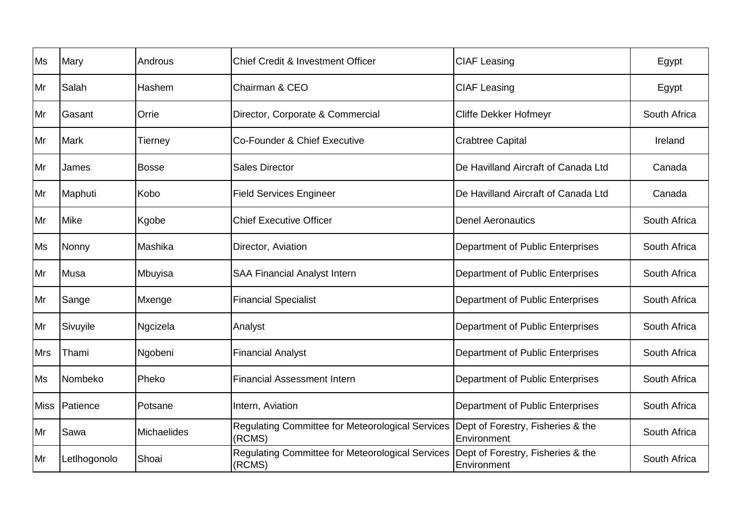| Ms          | Mary         | Androus            | <b>Chief Credit &amp; Investment Officer</b>               | <b>CIAF Leasing</b>                              | Egypt        |
|-------------|--------------|--------------------|------------------------------------------------------------|--------------------------------------------------|--------------|
| Mr          | Salah        | Hashem             | Chairman & CEO                                             | <b>CIAF Leasing</b>                              | Egypt        |
| Mr          | Gasant       | Orrie              | Director, Corporate & Commercial                           | Cliffe Dekker Hofmeyr                            | South Africa |
| Mr          | Mark         | Tierney            | Co-Founder & Chief Executive                               | <b>Crabtree Capital</b>                          | Ireland      |
| Mr          | James        | <b>Bosse</b>       | <b>Sales Director</b>                                      | De Havilland Aircraft of Canada Ltd              | Canada       |
| Mr          | Maphuti      | Kobo               | <b>Field Services Engineer</b>                             | De Havilland Aircraft of Canada Ltd              | Canada       |
| Mr          | <b>Mike</b>  | Kgobe              | <b>Chief Executive Officer</b>                             | <b>Denel Aeronautics</b>                         | South Africa |
| <b>Ms</b>   | Nonny        | Mashika            | Director, Aviation                                         | Department of Public Enterprises                 | South Africa |
| Mr          | Musa         | Mbuyisa            | <b>SAA Financial Analyst Intern</b>                        | Department of Public Enterprises                 | South Africa |
| Mr          | Sange        | Mxenge             | <b>Financial Specialist</b>                                | Department of Public Enterprises                 | South Africa |
| Mr          | Sivuyile     | Ngcizela           | Analyst                                                    | Department of Public Enterprises                 | South Africa |
| <b>Mrs</b>  | Thami        | Ngobeni            | <b>Financial Analyst</b>                                   | Department of Public Enterprises                 | South Africa |
| Ms          | Nombeko      | Pheko              | <b>Financial Assessment Intern</b>                         | Department of Public Enterprises                 | South Africa |
| <b>Miss</b> | Patience     | Potsane            | Intern, Aviation                                           | Department of Public Enterprises                 | South Africa |
| Mr          | Sawa         | <b>Michaelides</b> | Regulating Committee for Meteorological Services<br>(RCMS) | Dept of Forestry, Fisheries & the<br>Environment | South Africa |
| Mr          | Letlhogonolo | Shoai              | Regulating Committee for Meteorological Services<br>(RCMS) | Dept of Forestry, Fisheries & the<br>Environment | South Africa |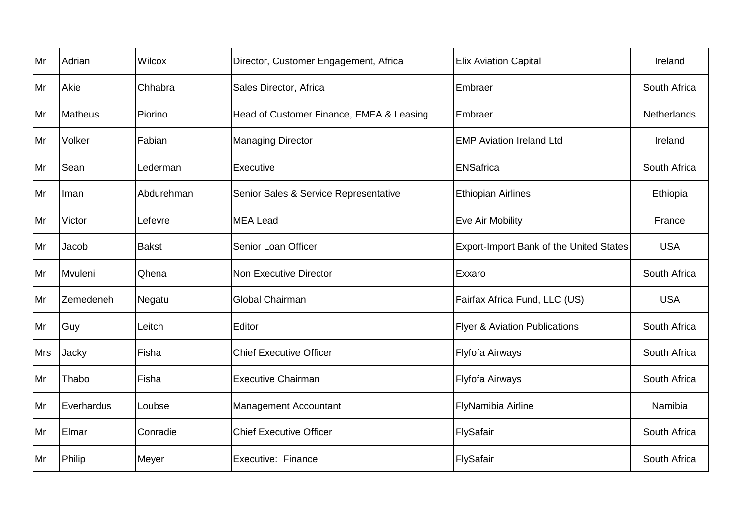| Mr         | Adrian         | Wilcox       | Director, Customer Engagement, Africa    | <b>Elix Aviation Capital</b>             | Ireland            |
|------------|----------------|--------------|------------------------------------------|------------------------------------------|--------------------|
| Mr         | Akie           | Chhabra      | Sales Director, Africa                   | Embraer                                  | South Africa       |
| Mr         | <b>Matheus</b> | Piorino      | Head of Customer Finance, EMEA & Leasing | Embraer                                  | <b>Netherlands</b> |
| Mr         | Volker         | Fabian       | <b>Managing Director</b>                 | <b>EMP Aviation Ireland Ltd</b>          | Ireland            |
| Mr         | Sean           | Lederman     | Executive                                | <b>ENSafrica</b>                         | South Africa       |
| Mr         | Iman           | Abdurehman   | Senior Sales & Service Representative    | <b>Ethiopian Airlines</b>                | Ethiopia           |
| Mr         | Victor         | Lefevre      | <b>MEA Lead</b>                          | Eve Air Mobility                         | France             |
| Mr         | Jacob          | <b>Bakst</b> | Senior Loan Officer                      | Export-Import Bank of the United States  | <b>USA</b>         |
| Mr         | Mvuleni        | Qhena        | Non Executive Director                   | Exxaro                                   | South Africa       |
| Mr         | Zemedeneh      | Negatu       | Global Chairman                          | Fairfax Africa Fund, LLC (US)            | <b>USA</b>         |
| Mr         | Guy            | Leitch       | Editor                                   | <b>Flyer &amp; Aviation Publications</b> | South Africa       |
| <b>Mrs</b> | Jacky          | Fisha        | <b>Chief Executive Officer</b>           | Flyfofa Airways                          | South Africa       |
| Mr         | Thabo          | Fisha        | <b>Executive Chairman</b>                | Flyfofa Airways                          | South Africa       |
| Mr         | Everhardus     | Loubse       | <b>Management Accountant</b>             | FlyNamibia Airline                       | Namibia            |
| Mr         | Elmar          | Conradie     | <b>Chief Executive Officer</b>           | FlySafair                                | South Africa       |
| Mr         | Philip         | Meyer        | Executive: Finance                       | FlySafair                                | South Africa       |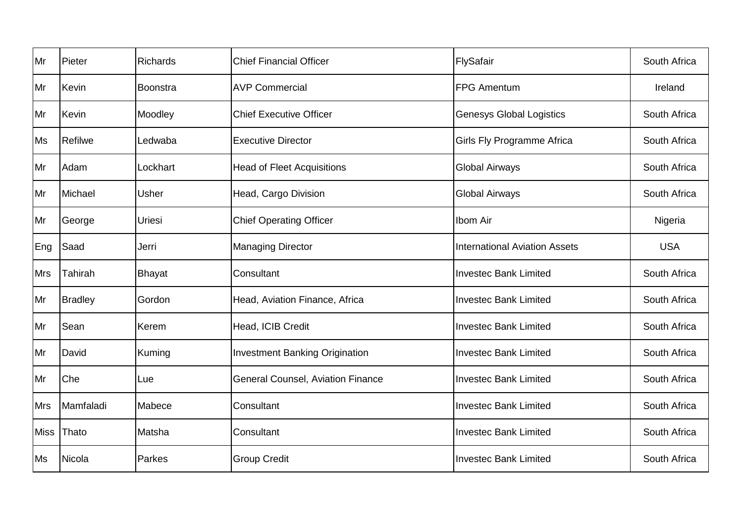| Mr          | Pieter         | <b>Richards</b> | <b>Chief Financial Officer</b>           | FlySafair                            | South Africa |
|-------------|----------------|-----------------|------------------------------------------|--------------------------------------|--------------|
| Mr          | Kevin          | Boonstra        | <b>AVP Commercial</b>                    | <b>FPG Amentum</b>                   | Ireland      |
| Mr          | Kevin          | Moodley         | <b>Chief Executive Officer</b>           | <b>Genesys Global Logistics</b>      | South Africa |
| <b>Ms</b>   | <b>Refilwe</b> | Ledwaba         | <b>Executive Director</b>                | <b>Girls Fly Programme Africa</b>    | South Africa |
| Mr          | Adam           | Lockhart        | <b>Head of Fleet Acquisitions</b>        | <b>Global Airways</b>                | South Africa |
| Mr          | Michael        | Usher           | Head, Cargo Division                     | <b>Global Airways</b>                | South Africa |
| Mr          | George         | Uriesi          | <b>Chief Operating Officer</b>           | Ibom Air                             | Nigeria      |
| Eng         | Saad           | Jerri           | <b>Managing Director</b>                 | <b>International Aviation Assets</b> | <b>USA</b>   |
| <b>Mrs</b>  | Tahirah        | <b>Bhayat</b>   | Consultant                               | <b>Investec Bank Limited</b>         | South Africa |
| Mr          | <b>Bradley</b> | Gordon          | Head, Aviation Finance, Africa           | <b>Investec Bank Limited</b>         | South Africa |
| Mr          | Sean           | Kerem           | Head, ICIB Credit                        | <b>Investec Bank Limited</b>         | South Africa |
| Mr          | David          | Kuming          | <b>Investment Banking Origination</b>    | <b>Investec Bank Limited</b>         | South Africa |
| Mr          | Che            | Lue             | <b>General Counsel, Aviation Finance</b> | <b>Investec Bank Limited</b>         | South Africa |
| <b>Mrs</b>  | Mamfaladi      | Mabece          | Consultant                               | <b>Investec Bank Limited</b>         | South Africa |
| <b>Miss</b> | Thato          | Matsha          | Consultant                               | <b>Investec Bank Limited</b>         | South Africa |
| <b>Ms</b>   | Nicola         | Parkes          | <b>Group Credit</b>                      | <b>Investec Bank Limited</b>         | South Africa |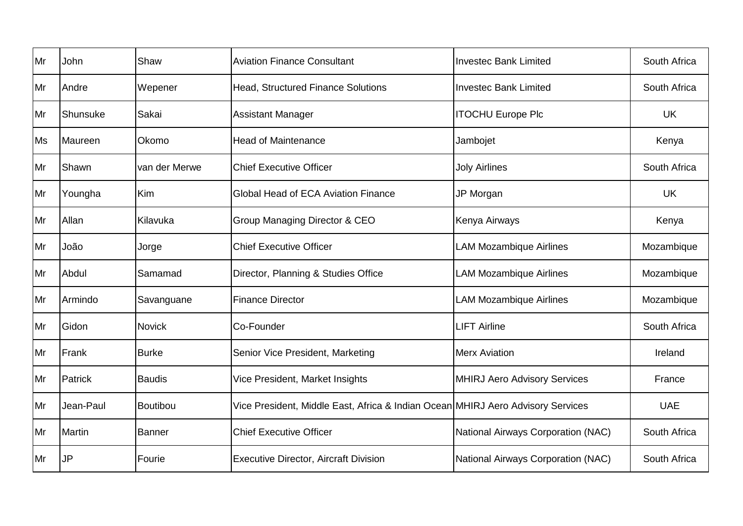| Mr        | John      | Shaw          | <b>Aviation Finance Consultant</b>                                              | <b>Investec Bank Limited</b>        | South Africa |
|-----------|-----------|---------------|---------------------------------------------------------------------------------|-------------------------------------|--------------|
| Mr        | Andre     | Wepener       | <b>Head, Structured Finance Solutions</b>                                       | <b>Investec Bank Limited</b>        | South Africa |
| Mr        | Shunsuke  | Sakai         | <b>Assistant Manager</b>                                                        | <b>ITOCHU Europe Plc</b>            | <b>UK</b>    |
| <b>Ms</b> | Maureen   | Okomo         | <b>Head of Maintenance</b>                                                      | Jambojet                            | Kenya        |
| Mr        | Shawn     | van der Merwe | <b>Chief Executive Officer</b>                                                  | <b>Joly Airlines</b>                | South Africa |
| Mr        | Youngha   | Kim           | Global Head of ECA Aviation Finance                                             | JP Morgan                           | <b>UK</b>    |
| Mr        | Allan     | Kilavuka      | <b>Group Managing Director &amp; CEO</b>                                        | Kenya Airways                       | Kenya        |
| Mr        | João      | Jorge         | <b>Chief Executive Officer</b>                                                  | <b>LAM Mozambique Airlines</b>      | Mozambique   |
| Mr        | Abdul     | Samamad       | Director, Planning & Studies Office                                             | <b>LAM Mozambique Airlines</b>      | Mozambique   |
| Mr        | Armindo   | Savanguane    | <b>Finance Director</b>                                                         | <b>LAM Mozambique Airlines</b>      | Mozambique   |
| Mr        | Gidon     | <b>Novick</b> | Co-Founder                                                                      | <b>LIFT Airline</b>                 | South Africa |
| Mr        | Frank     | <b>Burke</b>  | Senior Vice President, Marketing                                                | <b>Merx Aviation</b>                | Ireland      |
| Mr        | Patrick   | <b>Baudis</b> | Vice President, Market Insights                                                 | <b>MHIRJ Aero Advisory Services</b> | France       |
| Mr        | Jean-Paul | Boutibou      | Vice President, Middle East, Africa & Indian Ocean MHIRJ Aero Advisory Services |                                     | <b>UAE</b>   |
| Mr        | Martin    | Banner        | <b>Chief Executive Officer</b>                                                  | National Airways Corporation (NAC)  | South Africa |
| Mr        | <b>JP</b> | Fourie        | <b>Executive Director, Aircraft Division</b>                                    | National Airways Corporation (NAC)  | South Africa |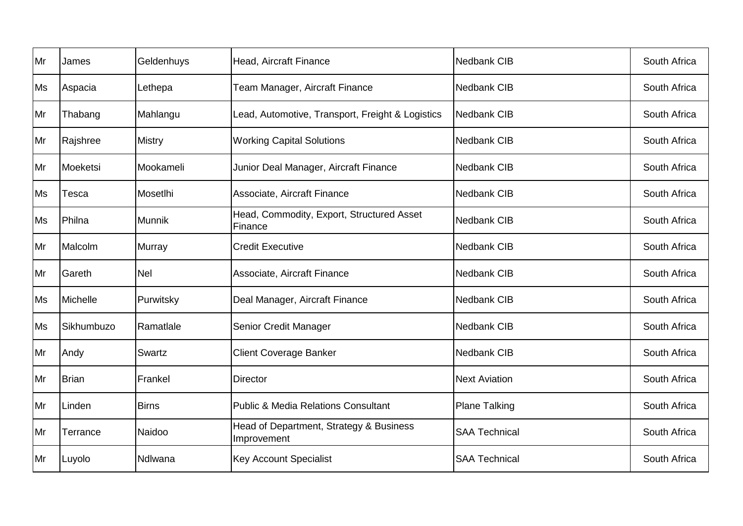| Mr        | James        | Geldenhuys    | Head, Aircraft Finance                                 | <b>Nedbank CIB</b>   | South Africa |
|-----------|--------------|---------------|--------------------------------------------------------|----------------------|--------------|
| <b>Ms</b> | Aspacia      | Lethepa       | Team Manager, Aircraft Finance                         | <b>Nedbank CIB</b>   | South Africa |
| Mr        | Thabang      | Mahlangu      | Lead, Automotive, Transport, Freight & Logistics       | Nedbank CIB          | South Africa |
| Mr        | Rajshree     | <b>Mistry</b> | <b>Working Capital Solutions</b>                       | Nedbank CIB          | South Africa |
| Mr        | Moeketsi     | Mookameli     | Junior Deal Manager, Aircraft Finance                  | <b>Nedbank CIB</b>   | South Africa |
| Ms        | Tesca        | Mosetlhi      | Associate, Aircraft Finance                            | Nedbank CIB          | South Africa |
| <b>Ms</b> | Philna       | <b>Munnik</b> | Head, Commodity, Export, Structured Asset<br>Finance   | <b>Nedbank CIB</b>   | South Africa |
| Mr        | Malcolm      | <b>Murray</b> | <b>Credit Executive</b>                                | <b>Nedbank CIB</b>   | South Africa |
| Mr        | Gareth       | <b>Nel</b>    | Associate, Aircraft Finance                            | <b>Nedbank CIB</b>   | South Africa |
| Ms        | Michelle     | Purwitsky     | Deal Manager, Aircraft Finance                         | <b>Nedbank CIB</b>   | South Africa |
| Ms        | Sikhumbuzo   | Ramatlale     | Senior Credit Manager                                  | <b>Nedbank CIB</b>   | South Africa |
| Mr        | Andy         | Swartz        | <b>Client Coverage Banker</b>                          | <b>Nedbank CIB</b>   | South Africa |
| Mr        | <b>Brian</b> | Frankel       | <b>Director</b>                                        | <b>Next Aviation</b> | South Africa |
| Mr        | Linden       | <b>Birns</b>  | <b>Public &amp; Media Relations Consultant</b>         | <b>Plane Talking</b> | South Africa |
| Mr        | Terrance     | Naidoo        | Head of Department, Strategy & Business<br>Improvement | <b>SAA Technical</b> | South Africa |
| Mr        | Luyolo       | Ndlwana       | <b>Key Account Specialist</b>                          | <b>SAA Technical</b> | South Africa |